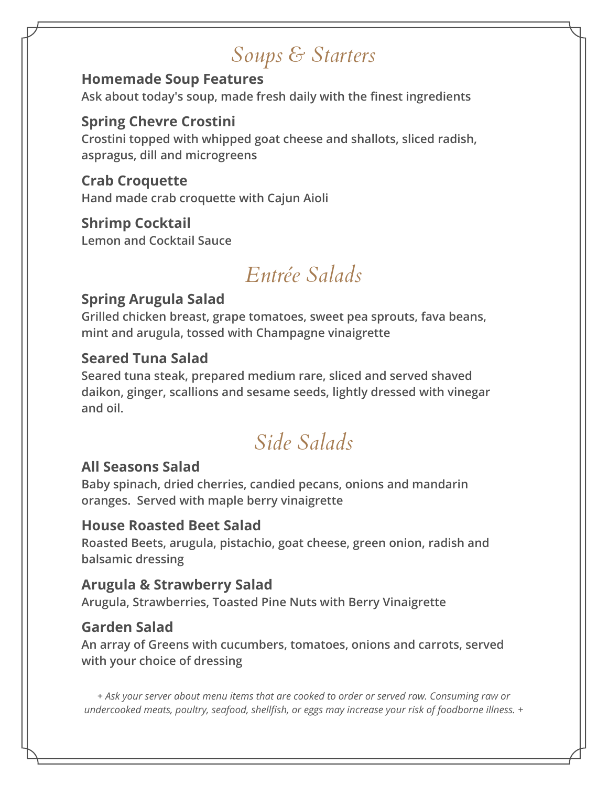# *Soups & Starters*

### **Homemade Soup Features**

**Ask about today's soup, made fresh daily with the finest ingredients**

### **Spring Chevre Crostini**

**Crostini topped with whipped goat cheese and shallots, sliced radish, aspragus, dill and microgreens**

**Crab Croquette Hand made crab croquette with Cajun Aioli**

**Shrimp Cocktail Lemon and Cocktail Sauce**

# *Entrée Salads*

# **Spring Arugula Salad**

**Grilled chicken breast, grape tomatoes, sweet pea sprouts, fava beans, mint and arugula, tossed with Champagne vinaigrette**

### **Seared Tuna Salad**

**Seared tuna steak, prepared medium rare, sliced and served shaved daikon, ginger, scallions and sesame seeds, lightly dressed with vinegar and oil.**

# *Side Salads*

## **All Seasons Salad**

**Baby spinach, dried cherries, candied pecans, onions and mandarin oranges. Served with maple berry vinaigrette**

### **House Roasted Beet Salad**

**Roasted Beets, arugula, pistachio, goat cheese, green onion, radish and balsamic dressing**

## **Arugula & Strawberry Salad**

**Arugula, Strawberries, Toasted Pine Nuts with Berry Vinaigrette**

## **Garden Salad**

**An array of Greens with cucumbers, tomatoes, onions and carrots, served with your choice of dressing**

*+ Ask your server about menu items that are cooked to order or served raw. Consuming raw or undercooked meats, poultry, seafood, shellfish, or eggs may increase your risk of foodborne illness. +*